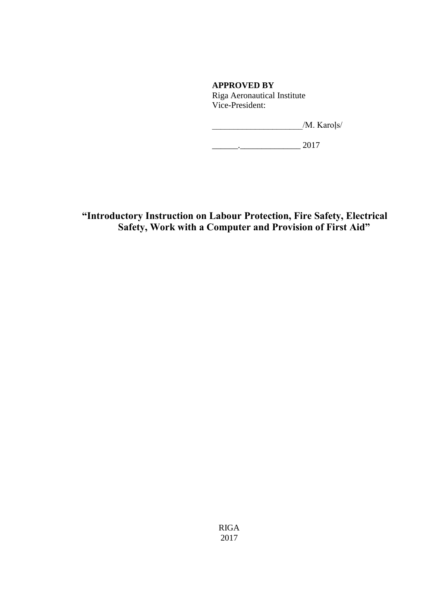**APPROVED BY** Riga Aeronautical Institute Vice-President:

 $/M.$  Karoļs/

 $\frac{1}{2017}$ 

**"Introductory Instruction on Labour Protection, Fire Safety, Electrical Safety, Work with a Computer and Provision of First Aid"**

> RIGA 2017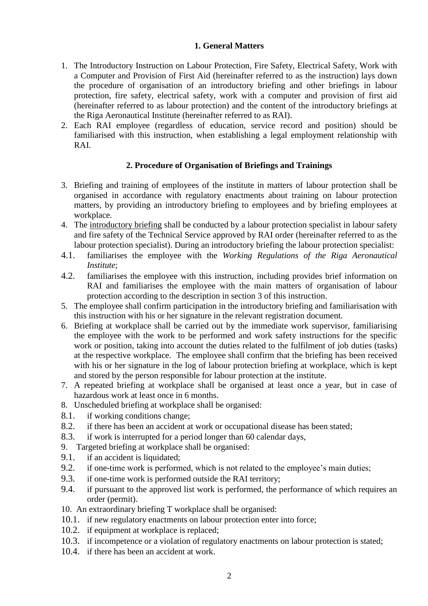## **1. General Matters**

- 1. The Introductory Instruction on Labour Protection, Fire Safety, Electrical Safety, Work with a Computer and Provision of First Aid (hereinafter referred to as the instruction) lays down the procedure of organisation of an introductory briefing and other briefings in labour protection, fire safety, electrical safety, work with a computer and provision of first aid (hereinafter referred to as labour protection) and the content of the introductory briefings at the Riga Aeronautical Institute (hereinafter referred to as RAI).
- 2. Each RAI employee (regardless of education, service record and position) should be familiarised with this instruction, when establishing a legal employment relationship with RAI.

#### **2. Procedure of Organisation of Briefings and Trainings**

- 3. Briefing and training of employees of the institute in matters of labour protection shall be organised in accordance with regulatory enactments about training on labour protection matters, by providing an introductory briefing to employees and by briefing employees at workplace.
- 4. The introductory briefing shall be conducted by a labour protection specialist in labour safety and fire safety of the Technical Service approved by RAI order (hereinafter referred to as the labour protection specialist). During an introductory briefing the labour protection specialist:
- 4.1. familiarises the employee with the *Working Regulations of the Riga Aeronautical Institute*;
- 4.2. familiarises the employee with this instruction, including provides brief information on RAI and familiarises the employee with the main matters of organisation of labour protection according to the description in section 3 of this instruction.
- 5. The employee shall confirm participation in the introductory briefing and familiarisation with this instruction with his or her signature in the relevant registration document.
- 6. Briefing at workplace shall be carried out by the immediate work supervisor, familiarising the employee with the work to be performed and work safety instructions for the specific work or position, taking into account the duties related to the fulfilment of job duties (tasks) at the respective workplace. The employee shall confirm that the briefing has been received with his or her signature in the log of labour protection briefing at workplace, which is kept and stored by the person responsible for labour protection at the institute.
- 7. A repeated briefing at workplace shall be organised at least once a year, but in case of hazardous work at least once in 6 months.
- 8. Unscheduled briefing at workplace shall be organised:
- 8.1. if working conditions change;
- 8.2. if there has been an accident at work or occupational disease has been stated;
- 8.3. if work is interrupted for a period longer than 60 calendar days,
- 9. Targeted briefing at workplace shall be organised:
- 9.1. if an accident is liquidated;
- 9.2. if one-time work is performed, which is not related to the employee's main duties;
- 9.3. if one-time work is performed outside the RAI territory;
- 9.4. if pursuant to the approved list work is performed, the performance of which requires an order (permit).
- 10. An extraordinary briefing T workplace shall be organised:
- 10.1. if new regulatory enactments on labour protection enter into force;
- 10.2. if equipment at workplace is replaced;
- 10.3. if incompetence or a violation of regulatory enactments on labour protection is stated;
- 10.4. if there has been an accident at work.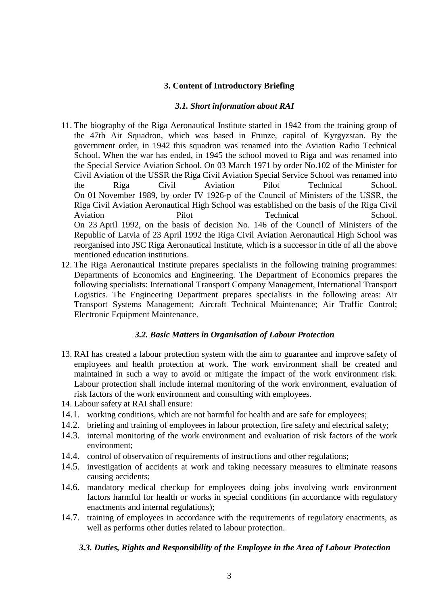# **3. Content of Introductory Briefing**

#### *3.1. Short information about RAI*

- 11. The biography of the Riga Aeronautical Institute started in 1942 from the training group of the 47th Air Squadron, which was based in Frunze, capital of Kyrgyzstan. By the government order, in 1942 this squadron was renamed into the Aviation Radio Technical School. When the war has ended, in 1945 the school moved to Riga and was renamed into the Special Service Aviation School. On 03 March 1971 by order No.102 of the Minister for Civil Aviation of the USSR the Riga Civil Aviation Special Service School was renamed into the Riga Civil Aviation Pilot Technical School. On 01 November 1989, by order IV 1926-р of the Council of Ministers of the USSR, the Riga Civil Aviation Aeronautical High School was established on the basis of the Riga Civil Aviation Pilot Pilot Technical School. On 23 April 1992, on the basis of decision No. 146 of the Council of Ministers of the Republic of Latvia of 23 April 1992 the Riga Civil Aviation Aeronautical High School was reorganised into JSC Riga Aeronautical Institute, which is a successor in title of all the above mentioned education institutions.
- 12. The Riga Aeronautical Institute prepares specialists in the following training programmes: Departments of Economics and Engineering. The Department of Economics prepares the following specialists: International Transport Company Management, International Transport Logistics. The Engineering Department prepares specialists in the following areas: Air Transport Systems Management; Aircraft Technical Maintenance; Air Traffic Control; Electronic Equipment Maintenance.

#### *3.2. Basic Matters in Organisation of Labour Protection*

- 13. RAI has created a labour protection system with the aim to guarantee and improve safety of employees and health protection at work. The work environment shall be created and maintained in such a way to avoid or mitigate the impact of the work environment risk. Labour protection shall include internal monitoring of the work environment, evaluation of risk factors of the work environment and consulting with employees.
- 14. Labour safety at RAI shall ensure:
- 14.1. working conditions, which are not harmful for health and are safe for employees;
- 14.2. briefing and training of employees in labour protection, fire safety and electrical safety;
- 14.3. internal monitoring of the work environment and evaluation of risk factors of the work environment;
- 14.4. control of observation of requirements of instructions and other regulations;
- 14.5. investigation of accidents at work and taking necessary measures to eliminate reasons causing accidents;
- 14.6. mandatory medical checkup for employees doing jobs involving work environment factors harmful for health or works in special conditions (in accordance with regulatory enactments and internal regulations);
- 14.7. training of employees in accordance with the requirements of regulatory enactments, as well as performs other duties related to labour protection.

#### *3.3. Duties, Rights and Responsibility of the Employee in the Area of Labour Protection*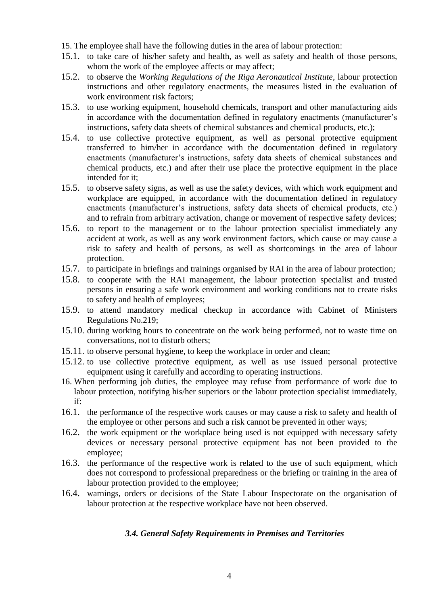- 15. The employee shall have the following duties in the area of labour protection:
- 15.1. to take care of his/her safety and health, as well as safety and health of those persons, whom the work of the employee affects or may affect;
- 15.2. to observe the *Working Regulations of the Riga Aeronautical Institute*, labour protection instructions and other regulatory enactments, the measures listed in the evaluation of work environment risk factors;
- 15.3. to use working equipment, household chemicals, transport and other manufacturing aids in accordance with the documentation defined in regulatory enactments (manufacturer's instructions, safety data sheets of chemical substances and chemical products, etc.);
- 15.4. to use collective protective equipment, as well as personal protective equipment transferred to him/her in accordance with the documentation defined in regulatory enactments (manufacturer's instructions, safety data sheets of chemical substances and chemical products, etc.) and after their use place the protective equipment in the place intended for it;
- 15.5. to observe safety signs, as well as use the safety devices, with which work equipment and workplace are equipped, in accordance with the documentation defined in regulatory enactments (manufacturer's instructions, safety data sheets of chemical products, etc.) and to refrain from arbitrary activation, change or movement of respective safety devices;
- 15.6. to report to the management or to the labour protection specialist immediately any accident at work, as well as any work environment factors, which cause or may cause a risk to safety and health of persons, as well as shortcomings in the area of labour protection.
- 15.7. to participate in briefings and trainings organised by RAI in the area of labour protection;
- 15.8. to cooperate with the RAI management, the labour protection specialist and trusted persons in ensuring a safe work environment and working conditions not to create risks to safety and health of employees;
- 15.9. to attend mandatory medical checkup in accordance with Cabinet of Ministers Regulations No.219;
- 15.10. during working hours to concentrate on the work being performed, not to waste time on conversations, not to disturb others;
- 15.11. to observe personal hygiene, to keep the workplace in order and clean;
- 15.12. to use collective protective equipment, as well as use issued personal protective equipment using it carefully and according to operating instructions.
- 16. When performing job duties, the employee may refuse from performance of work due to labour protection, notifying his/her superiors or the labour protection specialist immediately, if:
- 16.1. the performance of the respective work causes or may cause a risk to safety and health of the employee or other persons and such a risk cannot be prevented in other ways;
- 16.2. the work equipment or the workplace being used is not equipped with necessary safety devices or necessary personal protective equipment has not been provided to the employee;
- 16.3. the performance of the respective work is related to the use of such equipment, which does not correspond to professional preparedness or the briefing or training in the area of labour protection provided to the employee;
- 16.4. warnings, orders or decisions of the State Labour Inspectorate on the organisation of labour protection at the respective workplace have not been observed.

# *3.4. General Safety Requirements in Premises and Territories*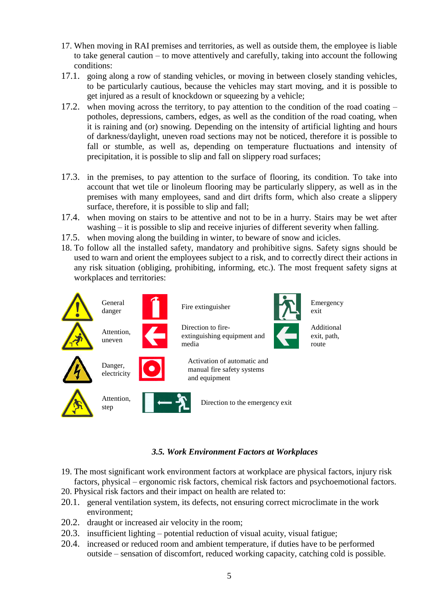- 17. When moving in RAI premises and territories, as well as outside them, the employee is liable to take general caution – to move attentively and carefully, taking into account the following conditions:
- 17.1. going along a row of standing vehicles, or moving in between closely standing vehicles, to be particularly cautious, because the vehicles may start moving, and it is possible to get injured as a result of knockdown or squeezing by a vehicle;
- 17.2. when moving across the territory, to pay attention to the condition of the road coating potholes, depressions, cambers, edges, as well as the condition of the road coating, when it is raining and (or) snowing. Depending on the intensity of artificial lighting and hours of darkness/daylight, uneven road sections may not be noticed, therefore it is possible to fall or stumble, as well as, depending on temperature fluctuations and intensity of precipitation, it is possible to slip and fall on slippery road surfaces;
- 17.3. in the premises, to pay attention to the surface of flooring, its condition. To take into account that wet tile or linoleum flooring may be particularly slippery, as well as in the premises with many employees, sand and dirt drifts form, which also create a slippery surface, therefore, it is possible to slip and fall;
- 17.4. when moving on stairs to be attentive and not to be in a hurry. Stairs may be wet after washing – it is possible to slip and receive injuries of different severity when falling.
- 17.5. when moving along the building in winter, to beware of snow and icicles.
- 18. To follow all the installed safety, mandatory and prohibitive signs. Safety signs should be used to warn and orient the employees subject to a risk, and to correctly direct their actions in any risk situation (obliging, prohibiting, informing, etc.). The most frequent safety signs at workplaces and territories:



# *3.5. Work Environment Factors at Workplaces*

- 19. The most significant work environment factors at workplace are physical factors, injury risk factors, physical – ergonomic risk factors, chemical risk factors and psychoemotional factors.
- 20. Physical risk factors and their impact on health are related to:
- 20.1. general ventilation system, its defects, not ensuring correct microclimate in the work environment;
- 20.2. draught or increased air velocity in the room;
- 20.3. insufficient lighting potential reduction of visual acuity, visual fatigue;
- 20.4. increased or reduced room and ambient temperature, if duties have to be performed outside – sensation of discomfort, reduced working capacity, catching cold is possible.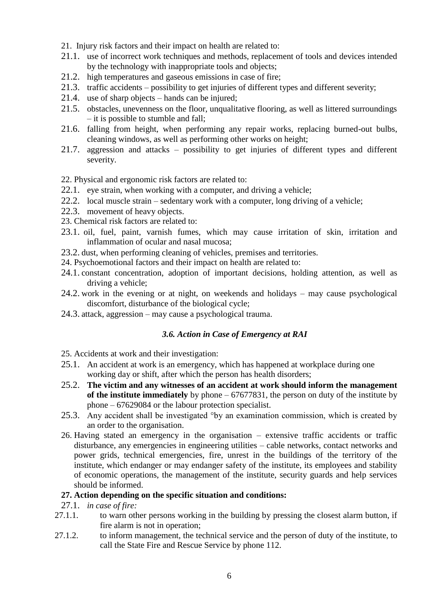- 21. Injury risk factors and their impact on health are related to:
- 21.1. use of incorrect work techniques and methods, replacement of tools and devices intended by the technology with inappropriate tools and objects;
- 21.2. high temperatures and gaseous emissions in case of fire;
- 21.3. traffic accidents possibility to get injuries of different types and different severity;
- 21.4. use of sharp objects hands can be injured;
- 21.5. obstacles, unevenness on the floor, unqualitative flooring, as well as littered surroundings – it is possible to stumble and fall;
- 21.6. falling from height, when performing any repair works, replacing burned-out bulbs, cleaning windows, as well as performing other works on height;
- 21.7. aggression and attacks possibility to get injuries of different types and different severity.

22. Physical and ergonomic risk factors are related to:

- 22.1. eye strain, when working with a computer, and driving a vehicle;
- 22.2. local muscle strain sedentary work with a computer, long driving of a vehicle;
- 22.3. movement of heavy objects.
- 23. Chemical risk factors are related to:
- 23.1. oil, fuel, paint, varnish fumes, which may cause irritation of skin, irritation and inflammation of ocular and nasal mucosa;
- 23.2. dust, when performing cleaning of vehicles, premises and territories.
- 24. Psychoemotional factors and their impact on health are related to:
- 24.1. constant concentration, adoption of important decisions, holding attention, as well as driving a vehicle;
- 24.2. work in the evening or at night, on weekends and holidays may cause psychological discomfort, disturbance of the biological cycle;
- 24.3. attack, aggression may cause a psychological trauma.

# *3.6. Action in Case of Emergency at RAI*

- 25. Accidents at work and their investigation:
- 25.1. An accident at work is an emergency, which has happened at workplace during one working day or shift, after which the person has health disorders;
- 25.2. **The victim and any witnesses of an accident at work should inform the management of the institute immediately** by phone – 67677831, the person on duty of the institute by phone – 67629084 or the labour protection specialist.
- 25.3. Any accident shall be investigated °by an examination commission, which is created by an order to the organisation.
- 26. Having stated an emergency in the organisation extensive traffic accidents or traffic disturbance, any emergencies in engineering utilities – cable networks, contact networks and power grids, technical emergencies, fire, unrest in the buildings of the territory of the institute, which endanger or may endanger safety of the institute, its employees and stability of economic operations, the management of the institute, security guards and help services should be informed.

# **27. Action depending on the specific situation and conditions:**

- 27.1. *in case of fire:*
- 27.1.1. to warn other persons working in the building by pressing the closest alarm button, if fire alarm is not in operation;
- 27.1.2. to inform management, the technical service and the person of duty of the institute, to call the State Fire and Rescue Service by phone 112.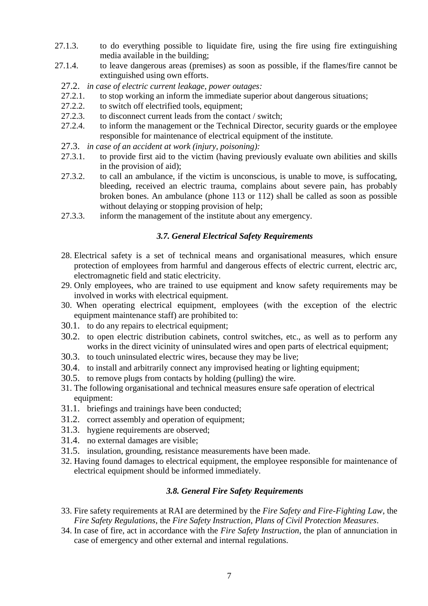- 27.1.3. to do everything possible to liquidate fire, using the fire using fire extinguishing media available in the building;
- 27.1.4. to leave dangerous areas (premises) as soon as possible, if the flames/fire cannot be extinguished using own efforts.
	- 27.2. *in case of electric current leakage, power outages:*
	- 27.2.1. to stop working an inform the immediate superior about dangerous situations;
	- 27.2.2. to switch off electrified tools, equipment;
	- 27.2.3. to disconnect current leads from the contact / switch;
	- 27.2.4. to inform the management or the Technical Director, security guards or the employee responsible for maintenance of electrical equipment of the institute.
	- 27.3. *in case of an accident at work (injury, poisoning):*
	- 27.3.1. to provide first aid to the victim (having previously evaluate own abilities and skills in the provision of aid);
	- 27.3.2. to call an ambulance, if the victim is unconscious, is unable to move, is suffocating, bleeding, received an electric trauma, complains about severe pain, has probably broken bones. An ambulance (phone 113 or 112) shall be called as soon as possible without delaying or stopping provision of help;
	- 27.3.3. inform the management of the institute about any emergency.

# *3.7. General Electrical Safety Requirements*

- 28. Electrical safety is a set of technical means and organisational measures, which ensure protection of employees from harmful and dangerous effects of electric current, electric arc, electromagnetic field and static electricity.
- 29. Only employees, who are trained to use equipment and know safety requirements may be involved in works with electrical equipment.
- 30. When operating electrical equipment, employees (with the exception of the electric equipment maintenance staff) are prohibited to:
- 30.1. to do any repairs to electrical equipment;
- 30.2. to open electric distribution cabinets, control switches, etc., as well as to perform any works in the direct vicinity of uninsulated wires and open parts of electrical equipment;
- 30.3. to touch uninsulated electric wires, because they may be live;
- 30.4. to install and arbitrarily connect any improvised heating or lighting equipment;
- 30.5. to remove plugs from contacts by holding (pulling) the wire.
- 31. The following organisational and technical measures ensure safe operation of electrical equipment:
- 31.1. briefings and trainings have been conducted;
- 31.2. correct assembly and operation of equipment;
- 31.3. hygiene requirements are observed;
- 31.4. no external damages are visible;
- 31.5. insulation, grounding, resistance measurements have been made.
- 32. Having found damages to electrical equipment, the employee responsible for maintenance of electrical equipment should be informed immediately.

# *3.8. General Fire Safety Requirements*

- 33. Fire safety requirements at RAI are determined by the *Fire Safety and Fire-Fighting Law*, the *Fire Safety Regulations*, the *Fire Safety Instruction*, *Plans of Civil Protection Measures*.
- 34. In case of fire, act in accordance with the *Fire Safety Instruction*, the plan of annunciation in case of emergency and other external and internal regulations.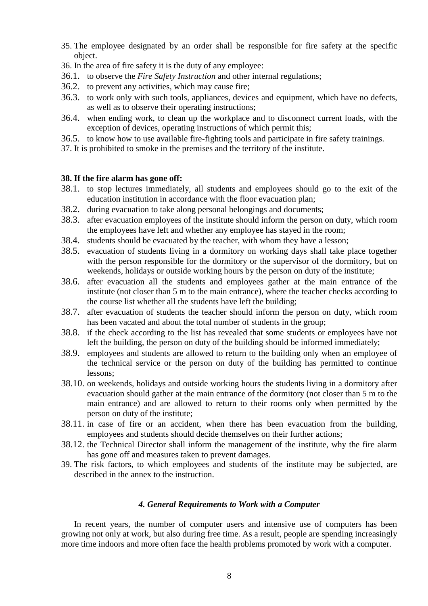- 35. The employee designated by an order shall be responsible for fire safety at the specific object.
- 36. In the area of fire safety it is the duty of any employee:
- 36.1. to observe the *Fire Safety Instruction* and other internal regulations;
- 36.2. to prevent any activities, which may cause fire;
- 36.3. to work only with such tools, appliances, devices and equipment, which have no defects, as well as to observe their operating instructions;
- 36.4. when ending work, to clean up the workplace and to disconnect current loads, with the exception of devices, operating instructions of which permit this;
- 36.5. to know how to use available fire-fighting tools and participate in fire safety trainings.
- 37. It is prohibited to smoke in the premises and the territory of the institute.

### **38. If the fire alarm has gone off:**

- 38.1. to stop lectures immediately, all students and employees should go to the exit of the education institution in accordance with the floor evacuation plan;
- 38.2. during evacuation to take along personal belongings and documents;
- 38.3. after evacuation employees of the institute should inform the person on duty, which room the employees have left and whether any employee has stayed in the room;
- 38.4. students should be evacuated by the teacher, with whom they have a lesson;
- 38.5. evacuation of students living in a dormitory on working days shall take place together with the person responsible for the dormitory or the supervisor of the dormitory, but on weekends, holidays or outside working hours by the person on duty of the institute;
- 38.6. after evacuation all the students and employees gather at the main entrance of the institute (not closer than 5 m to the main entrance), where the teacher checks according to the course list whether all the students have left the building;
- 38.7. after evacuation of students the teacher should inform the person on duty, which room has been vacated and about the total number of students in the group;
- 38.8. if the check according to the list has revealed that some students or employees have not left the building, the person on duty of the building should be informed immediately;
- 38.9. employees and students are allowed to return to the building only when an employee of the technical service or the person on duty of the building has permitted to continue lessons;
- 38.10. on weekends, holidays and outside working hours the students living in a dormitory after evacuation should gather at the main entrance of the dormitory (not closer than 5 m to the main entrance) and are allowed to return to their rooms only when permitted by the person on duty of the institute;
- 38.11. in case of fire or an accident, when there has been evacuation from the building, employees and students should decide themselves on their further actions;
- 38.12. the Technical Director shall inform the management of the institute, why the fire alarm has gone off and measures taken to prevent damages.
- 39. The risk factors, to which employees and students of the institute may be subjected, are described in the annex to the instruction.

#### *4. General Requirements to Work with a Computer*

In recent years, the number of computer users and intensive use of computers has been growing not only at work, but also during free time. As a result, people are spending increasingly more time indoors and more often face the health problems promoted by work with a computer.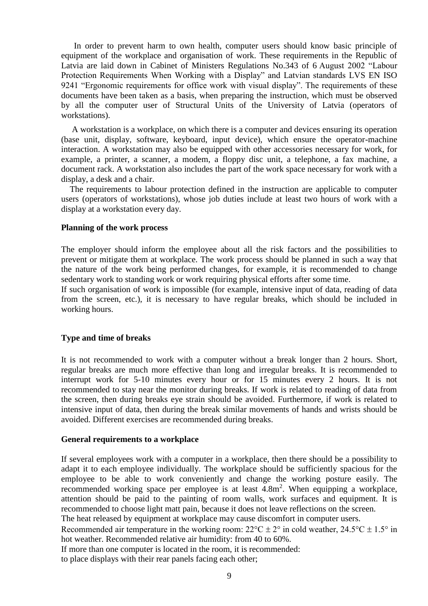In order to prevent harm to own health, computer users should know basic principle of equipment of the workplace and organisation of work. These requirements in the Republic of Latvia are laid down in Cabinet of Ministers Regulations No.343 of 6 August 2002 "Labour Protection Requirements When Working with a Display" and Latvian standards LVS EN ISO 9241 "Ergonomic requirements for office work with visual display". The requirements of these documents have been taken as a basis, when preparing the instruction, which must be observed by all the computer user of Structural Units of the University of Latvia (operators of workstations).

 A workstation is a workplace, on which there is a computer and devices ensuring its operation (base unit, display, software, keyboard, input device), which ensure the operator-machine interaction. A workstation may also be equipped with other accessories necessary for work, for example, a printer, a scanner, a modem, a floppy disc unit, a telephone, a fax machine, a document rack. A workstation also includes the part of the work space necessary for work with a display, a desk and a chair.

 The requirements to labour protection defined in the instruction are applicable to computer users (operators of workstations), whose job duties include at least two hours of work with a display at a workstation every day.

#### **Planning of the work process**

The employer should inform the employee about all the risk factors and the possibilities to prevent or mitigate them at workplace. The work process should be planned in such a way that the nature of the work being performed changes, for example, it is recommended to change sedentary work to standing work or work requiring physical efforts after some time.

If such organisation of work is impossible (for example, intensive input of data, reading of data from the screen, etc.), it is necessary to have regular breaks, which should be included in working hours.

#### **Type and time of breaks**

It is not recommended to work with a computer without a break longer than 2 hours. Short, regular breaks are much more effective than long and irregular breaks. It is recommended to interrupt work for 5-10 minutes every hour or for 15 minutes every 2 hours. It is not recommended to stay near the monitor during breaks. If work is related to reading of data from the screen, then during breaks eye strain should be avoided. Furthermore, if work is related to intensive input of data, then during the break similar movements of hands and wrists should be avoided. Different exercises are recommended during breaks.

#### **General requirements to a workplace**

If several employees work with a computer in a workplace, then there should be a possibility to adapt it to each employee individually. The workplace should be sufficiently spacious for the employee to be able to work conveniently and change the working posture easily. The recommended working space per employee is at least  $4.8m<sup>2</sup>$ . When equipping a workplace, attention should be paid to the painting of room walls, work surfaces and equipment. It is recommended to choose light matt pain, because it does not leave reflections on the screen.

The heat released by equipment at workplace may cause discomfort in computer users.

Recommended air temperature in the working room:  $22^{\circ}C \pm 2^{\circ}$  in cold weather,  $24.5^{\circ}C \pm 1.5^{\circ}$  in hot weather. Recommended relative air humidity: from 40 to 60%.

If more than one computer is located in the room, it is recommended:

to place displays with their rear panels facing each other;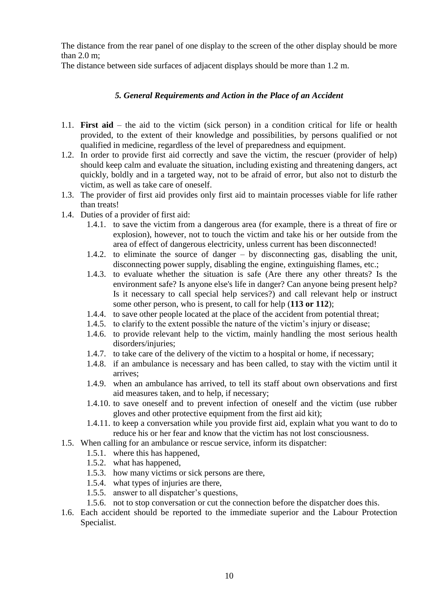The distance from the rear panel of one display to the screen of the other display should be more than 2.0 m;

The distance between side surfaces of adjacent displays should be more than 1.2 m.

# *5. General Requirements and Action in the Place of an Accident*

- 1.1. **First aid** the aid to the victim (sick person) in a condition critical for life or health provided, to the extent of their knowledge and possibilities, by persons qualified or not qualified in medicine, regardless of the level of preparedness and equipment.
- 1.2. In order to provide first aid correctly and save the victim, the rescuer (provider of help) should keep calm and evaluate the situation, including existing and threatening dangers, act quickly, boldly and in a targeted way, not to be afraid of error, but also not to disturb the victim, as well as take care of oneself.
- 1.3. The provider of first aid provides only first aid to maintain processes viable for life rather than treats!
- 1.4. Duties of a provider of first aid:
	- 1.4.1. to save the victim from a dangerous area (for example, there is a threat of fire or explosion), however, not to touch the victim and take his or her outside from the area of effect of dangerous electricity, unless current has been disconnected!
	- 1.4.2. to eliminate the source of danger by disconnecting gas, disabling the unit, disconnecting power supply, disabling the engine, extinguishing flames, etc.;
	- 1.4.3. to evaluate whether the situation is safe (Are there any other threats? Is the environment safe? Is anyone else's life in danger? Can anyone being present help? Is it necessary to call special help services?) and call relevant help or instruct some other person, who is present, to call for help (**113 or 112**);
	- 1.4.4. to save other people located at the place of the accident from potential threat;
	- 1.4.5. to clarify to the extent possible the nature of the victim's injury or disease;
	- 1.4.6. to provide relevant help to the victim, mainly handling the most serious health disorders/injuries:
	- 1.4.7. to take care of the delivery of the victim to a hospital or home, if necessary;
	- 1.4.8. if an ambulance is necessary and has been called, to stay with the victim until it arrives;
	- 1.4.9. when an ambulance has arrived, to tell its staff about own observations and first aid measures taken, and to help, if necessary;
	- 1.4.10. to save oneself and to prevent infection of oneself and the victim (use rubber gloves and other protective equipment from the first aid kit);
	- 1.4.11. to keep a conversation while you provide first aid, explain what you want to do to reduce his or her fear and know that the victim has not lost consciousness.
- 1.5. When calling for an ambulance or rescue service, inform its dispatcher:
	- 1.5.1. where this has happened,
	- 1.5.2. what has happened,
	- 1.5.3. how many victims or sick persons are there,
	- 1.5.4. what types of injuries are there,
	- 1.5.5. answer to all dispatcher's questions,
	- 1.5.6. not to stop conversation or cut the connection before the dispatcher does this.
- 1.6. Each accident should be reported to the immediate superior and the Labour Protection Specialist.